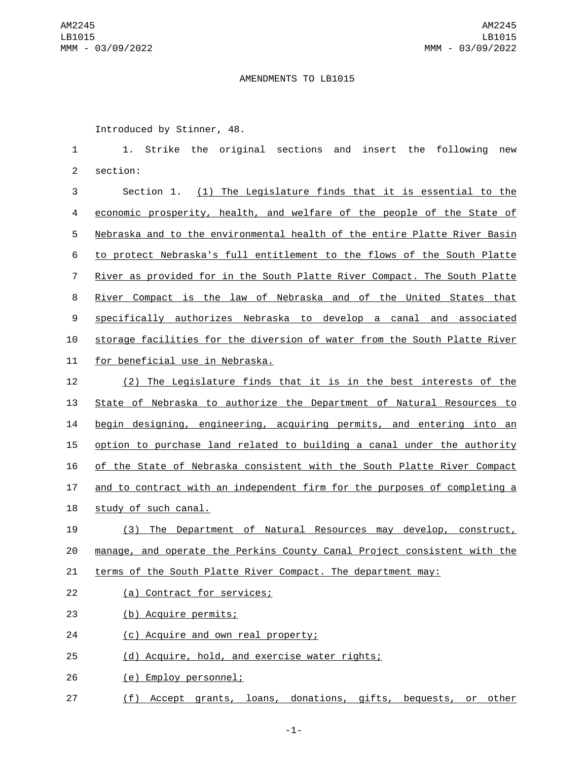## AMENDMENTS TO LB1015

Introduced by Stinner, 48.

1 1. Strike the original sections and insert the following new 2 section:

 Section 1. (1) The Legislature finds that it is essential to the economic prosperity, health, and welfare of the people of the State of Nebraska and to the environmental health of the entire Platte River Basin to protect Nebraska's full entitlement to the flows of the South Platte River as provided for in the South Platte River Compact. The South Platte River Compact is the law of Nebraska and of the United States that specifically authorizes Nebraska to develop a canal and associated storage facilities for the diversion of water from the South Platte River 11 for beneficial use in Nebraska.

 (2) The Legislature finds that it is in the best interests of the State of Nebraska to authorize the Department of Natural Resources to begin designing, engineering, acquiring permits, and entering into an option to purchase land related to building a canal under the authority of the State of Nebraska consistent with the South Platte River Compact and to contract with an independent firm for the purposes of completing a 18 study of such canal.

19 (3) The Department of Natural Resources may develop, construct, 20 manage, and operate the Perkins County Canal Project consistent with the

21 terms of the South Platte River Compact. The department may:

22 (a) Contract for services;

(b) Acquire permits;23

- 24 (c) Acquire and own real property;
- 25 (d) Acquire, hold, and exercise water rights;

(e) Employ personnel;26

27 (f) Accept grants, loans, donations, gifts, bequests, or other